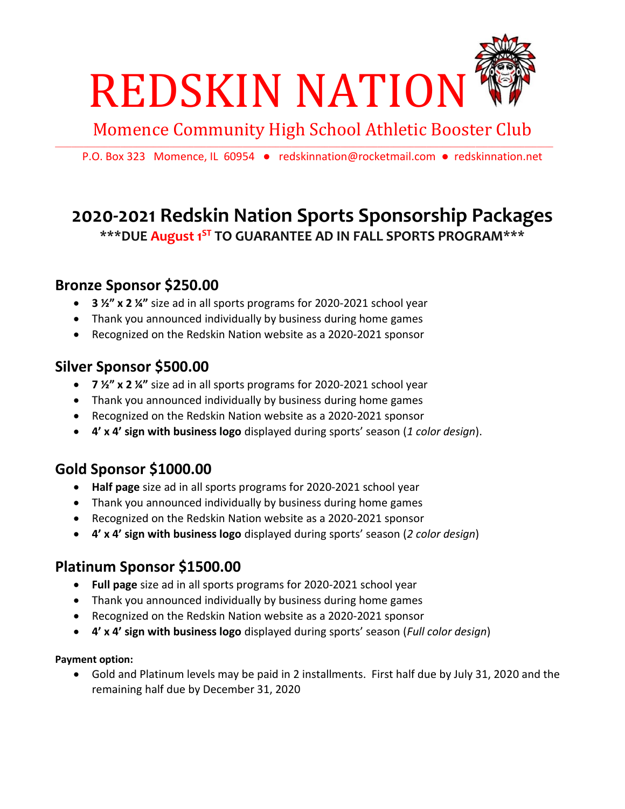

Momence Community High School Athletic Booster Club

 $\Box$ 

P.O. Box 323 Momence, IL 60954 · [redskinnation@rocketmail.com](mailto:redskinnation@rocketmail.com) · redskinnation.net

## **2020-2021 Redskin Nation Sports Sponsorship Packages \*\*\*DUE August 1ST TO GUARANTEE AD IN FALL SPORTS PROGRAM\*\*\***

#### **Bronze Sponsor \$250.00**

- **3 ½" x 2 ¼"** size ad in all sports programs for 2020-2021 school year
- Thank you announced individually by business during home games
- Recognized on the Redskin Nation website as a 2020-2021 sponsor

#### **Silver Sponsor \$500.00**

- **7 ½" x 2 ¼"** size ad in all sports programs for 2020-2021 school year
- Thank you announced individually by business during home games
- Recognized on the Redskin Nation website as a 2020-2021 sponsor
- **4' x 4' sign with business logo** displayed during sports' season (*1 color design*).

### **Gold Sponsor \$1000.00**

- **Half page** size ad in all sports programs for 2020-2021 school year
- Thank you announced individually by business during home games
- Recognized on the Redskin Nation website as a 2020-2021 sponsor
- **4' x 4' sign with business logo** displayed during sports' season (*2 color design*)

### **Platinum Sponsor \$1500.00**

- **Full page** size ad in all sports programs for 2020-2021 school year
- Thank you announced individually by business during home games
- Recognized on the Redskin Nation website as a 2020-2021 sponsor
- **4' x 4' sign with business logo** displayed during sports' season (*Full color design*)

#### **Payment option:**

• Gold and Platinum levels may be paid in 2 installments. First half due by July 31, 2020 and the remaining half due by December 31, 2020